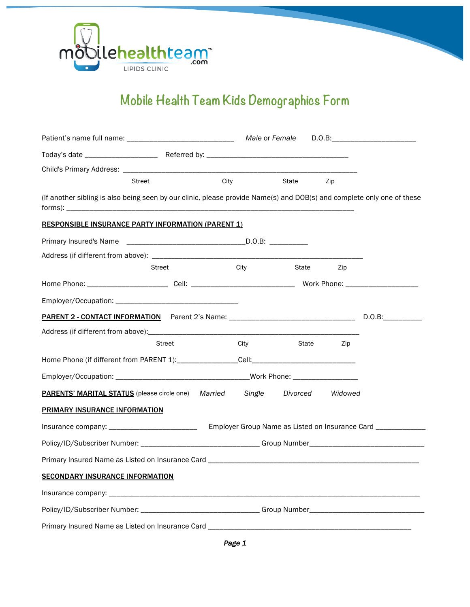

## **Mobile Health Team Kids Demographics Form**

|                                                                                                                        |                                                                                                            |      | Male or Female   |          |           | D.O.B: |  |  |
|------------------------------------------------------------------------------------------------------------------------|------------------------------------------------------------------------------------------------------------|------|------------------|----------|-----------|--------|--|--|
|                                                                                                                        |                                                                                                            |      |                  |          |           |        |  |  |
|                                                                                                                        |                                                                                                            |      |                  |          |           |        |  |  |
|                                                                                                                        | <b>Street</b>                                                                                              | City |                  | State    | Zip       |        |  |  |
| (If another sibling is also being seen by our clinic, please provide Name(s) and DOB(s) and complete only one of these |                                                                                                            |      |                  |          |           |        |  |  |
| <b>RESPONSIBLE INSURANCE PARTY INFORMATION (PARENT 1)</b>                                                              |                                                                                                            |      |                  |          |           |        |  |  |
|                                                                                                                        |                                                                                                            |      |                  |          |           |        |  |  |
|                                                                                                                        |                                                                                                            |      |                  |          |           |        |  |  |
|                                                                                                                        | Street                                                                                                     |      | City             | State    | Zip       |        |  |  |
|                                                                                                                        |                                                                                                            |      |                  |          |           |        |  |  |
|                                                                                                                        |                                                                                                            |      |                  |          |           |        |  |  |
|                                                                                                                        |                                                                                                            |      |                  |          |           |        |  |  |
|                                                                                                                        |                                                                                                            |      |                  |          |           |        |  |  |
|                                                                                                                        | Street                                                                                                     |      | <b>City City</b> |          | State Zip |        |  |  |
|                                                                                                                        |                                                                                                            |      |                  |          |           |        |  |  |
|                                                                                                                        |                                                                                                            |      |                  |          |           |        |  |  |
| <b>PARENTS' MARITAL STATUS</b> (please circle one) Married                                                             |                                                                                                            |      | Single           | Divorced | Widowed   |        |  |  |
| PRIMARY INSURANCE INFORMATION                                                                                          |                                                                                                            |      |                  |          |           |        |  |  |
|                                                                                                                        | Insurance company: _________________________<br>Employer Group Name as Listed on Insurance Card __________ |      |                  |          |           |        |  |  |
|                                                                                                                        | Policy/ID/Subscriber Number: _________________________________Group Number__________________________       |      |                  |          |           |        |  |  |
|                                                                                                                        |                                                                                                            |      |                  |          |           |        |  |  |
| <b>SECONDARY INSURANCE INFORMATION</b>                                                                                 |                                                                                                            |      |                  |          |           |        |  |  |
|                                                                                                                        |                                                                                                            |      |                  |          |           |        |  |  |
|                                                                                                                        | Policy/ID/Subscriber Number: _______________________________Group Number____________________________       |      |                  |          |           |        |  |  |
|                                                                                                                        |                                                                                                            |      |                  |          |           |        |  |  |